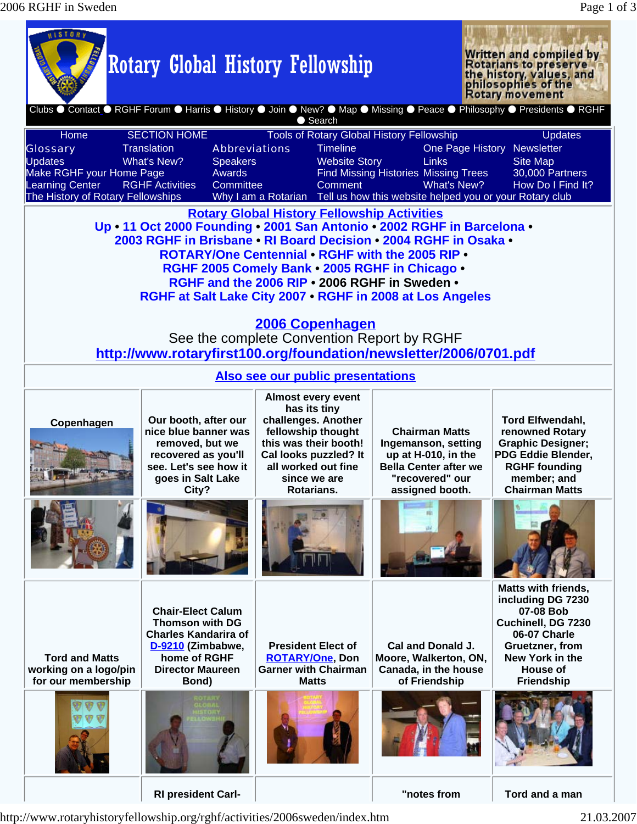<u> 1999 - Jan Ja</u>

**A CONSTRUCTION CONTINUES IN THE ANNUAL PROPERTY** 

| <b>WISIORY</b>                                                                                                                                                                                                                                                                                                                                                                                                                                                                                                                                                            |                                                                                                                                                            | <b>Rotary Global History Fellowship</b>                                                                                                                                                       |                                                                                                                                                                        | Written and compiled by<br>Rotarians to preserve<br>the history, values, and<br>philosophies of the<br><b>Rotary movement</b>                                                    |  |  |  |
|---------------------------------------------------------------------------------------------------------------------------------------------------------------------------------------------------------------------------------------------------------------------------------------------------------------------------------------------------------------------------------------------------------------------------------------------------------------------------------------------------------------------------------------------------------------------------|------------------------------------------------------------------------------------------------------------------------------------------------------------|-----------------------------------------------------------------------------------------------------------------------------------------------------------------------------------------------|------------------------------------------------------------------------------------------------------------------------------------------------------------------------|----------------------------------------------------------------------------------------------------------------------------------------------------------------------------------|--|--|--|
| Clubs ● Contact ● RGHF Forum ● Harris ● History ● Join ● New? ● Map ● Missing ● Peace ● Philosophy ● Presidents ● RGHF<br>● Search                                                                                                                                                                                                                                                                                                                                                                                                                                        |                                                                                                                                                            |                                                                                                                                                                                               |                                                                                                                                                                        |                                                                                                                                                                                  |  |  |  |
| Home<br><b>Glossary</b><br><b>Updates</b><br>Make RGHF your Home Page<br>Learning Center<br>The History of Rotary Fellowships                                                                                                                                                                                                                                                                                                                                                                                                                                             | <b>SECTION HOME</b><br><b>Translation</b><br><b>Abbreviations</b><br>What's New?<br><b>Speakers</b><br>Awards<br><b>RGHF Activities</b><br>Committee       | <b>Tools of Rotary Global History Fellowship</b><br><b>Timeline</b><br><b>Website Story</b><br>Comment                                                                                        | One Page History<br>Links<br><b>Find Missing Histories Missing Trees</b><br>What's New?<br>Why I am a Rotarian Tell us how this website helped you or your Rotary club | <b>Updates</b><br>Newsletter<br><b>Site Map</b><br>30,000 Partners<br>How Do I Find It?                                                                                          |  |  |  |
| <b>Rotary Global History Fellowship Activities</b><br>Up • 11 Oct 2000 Founding • 2001 San Antonio • 2002 RGHF in Barcelona •<br>2003 RGHF in Brisbane • RI Board Decision • 2004 RGHF in Osaka •<br><b>ROTARY/One Centennial • RGHF with the 2005 RIP •</b><br>RGHF 2005 Comely Bank . 2005 RGHF in Chicago .<br>RGHF and the 2006 RIP . 2006 RGHF in Sweden .<br>RGHF at Salt Lake City 2007 . RGHF in 2008 at Los Angeles<br><b>2006 Copenhagen</b><br>See the complete Convention Report by RGHF<br>http://www.rotaryfirst100.org/foundation/newsletter/2006/0701.pdf |                                                                                                                                                            |                                                                                                                                                                                               |                                                                                                                                                                        |                                                                                                                                                                                  |  |  |  |
| Also see our public presentations                                                                                                                                                                                                                                                                                                                                                                                                                                                                                                                                         |                                                                                                                                                            |                                                                                                                                                                                               |                                                                                                                                                                        |                                                                                                                                                                                  |  |  |  |
| Copenhagen                                                                                                                                                                                                                                                                                                                                                                                                                                                                                                                                                                | Our booth, after our<br>nice blue banner was<br>removed, but we<br>recovered as you'll<br>see. Let's see how it<br>goes in Salt Lake<br>City?              | <b>Almost every event</b><br>has its tiny<br>challenges. Another<br>fellowship thought<br>this was their booth!<br>Cal looks puzzled? It<br>all worked out fine<br>since we are<br>Rotarians. | <b>Chairman Matts</b><br>Ingemanson, setting<br>up at H-010, in the<br><b>Bella Center after we</b><br>"recovered" our<br>assigned booth.                              | <b>Tord Elfwendahl,</b><br>renowned Rotary<br><b>Graphic Designer;</b><br>PDG Eddie Blender,<br><b>RGHF founding</b><br>member; and<br><b>Chairman Matts</b>                     |  |  |  |
|                                                                                                                                                                                                                                                                                                                                                                                                                                                                                                                                                                           |                                                                                                                                                            |                                                                                                                                                                                               |                                                                                                                                                                        |                                                                                                                                                                                  |  |  |  |
| <b>Tord and Matts</b><br>working on a logo/pin<br>for our membership                                                                                                                                                                                                                                                                                                                                                                                                                                                                                                      | <b>Chair-Elect Calum</b><br><b>Thomson with DG</b><br><b>Charles Kandarira of</b><br>D-9210 (Zimbabwe,<br>home of RGHF<br><b>Director Maureen</b><br>Bond) | <b>President Elect of</b><br><b>ROTARY/One, Don</b><br><b>Garner with Chairman</b><br><b>Matts</b>                                                                                            | Cal and Donald J.<br>Moore, Walkerton, ON,<br>Canada, in the house<br>of Friendship                                                                                    | <b>Matts with friends,</b><br>including DG 7230<br>07-08 Bob<br>Cuchinell, DG 7230<br>06-07 Charle<br>Gruetzner, from<br>New York in the<br><b>House of</b><br><b>Friendship</b> |  |  |  |
|                                                                                                                                                                                                                                                                                                                                                                                                                                                                                                                                                                           |                                                                                                                                                            |                                                                                                                                                                                               |                                                                                                                                                                        |                                                                                                                                                                                  |  |  |  |
|                                                                                                                                                                                                                                                                                                                                                                                                                                                                                                                                                                           | <b>RI president Carl-</b>                                                                                                                                  |                                                                                                                                                                                               | "notes from                                                                                                                                                            | Tord and a man                                                                                                                                                                   |  |  |  |

http://www.rotaryhistoryfellowship.org/rghf/activities/2006sweden/index.htm 21.03.2007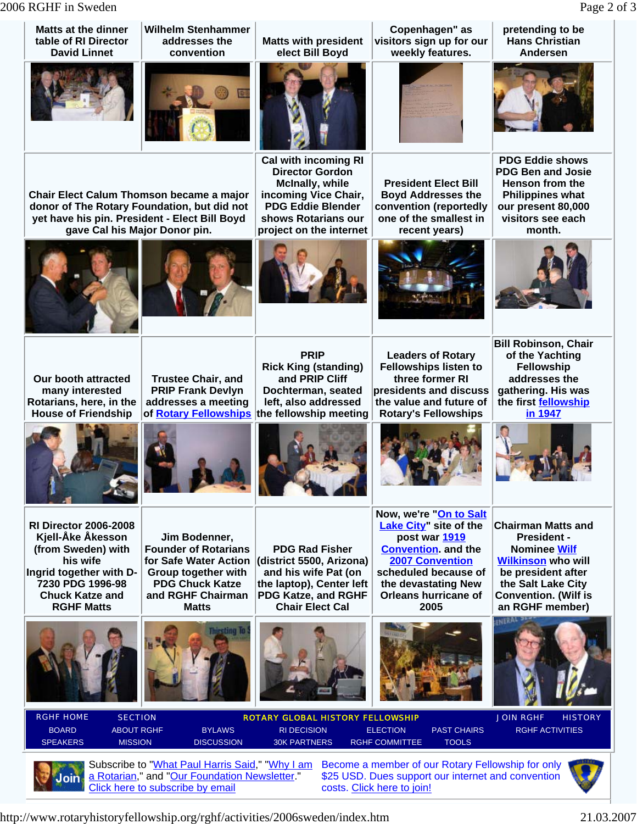2006 RGHF in Sweden Page 2 of 3

| <b>Matts at the dinner</b><br>table of RI Director<br><b>David Linnet</b>                                                                                                                                                                                                     | <b>Wilhelm Stenhammer</b><br>addresses the<br>convention                                                                                                    | <b>Matts with president</b><br>elect Bill Boyd                                                                                                                                 | Copenhagen" as<br>visitors sign up for our<br>weekly features.                                                                                                                                                  | pretending to be<br><b>Hans Christian</b><br>Andersen                                                                                                                                             |  |  |
|-------------------------------------------------------------------------------------------------------------------------------------------------------------------------------------------------------------------------------------------------------------------------------|-------------------------------------------------------------------------------------------------------------------------------------------------------------|--------------------------------------------------------------------------------------------------------------------------------------------------------------------------------|-----------------------------------------------------------------------------------------------------------------------------------------------------------------------------------------------------------------|---------------------------------------------------------------------------------------------------------------------------------------------------------------------------------------------------|--|--|
|                                                                                                                                                                                                                                                                               |                                                                                                                                                             |                                                                                                                                                                                |                                                                                                                                                                                                                 |                                                                                                                                                                                                   |  |  |
| Chair Elect Calum Thomson became a major<br>donor of The Rotary Foundation, but did not<br>yet have his pin. President - Elect Bill Boyd<br>gave Cal his Major Donor pin.                                                                                                     |                                                                                                                                                             | <b>Cal with incoming RI</b><br><b>Director Gordon</b><br>McInally, while<br>incoming Vice Chair,<br><b>PDG Eddie Blender</b><br>shows Rotarians our<br>project on the internet | <b>President Elect Bill</b><br><b>Boyd Addresses the</b><br>convention (reportedly<br>one of the smallest in<br>recent years)                                                                                   | <b>PDG Eddie shows</b><br><b>PDG Ben and Josie</b><br>Henson from the<br><b>Philippines what</b><br>our present 80,000<br>visitors see each<br>month.                                             |  |  |
|                                                                                                                                                                                                                                                                               |                                                                                                                                                             |                                                                                                                                                                                |                                                                                                                                                                                                                 |                                                                                                                                                                                                   |  |  |
| Our booth attracted<br>many interested<br>Rotarians, here, in the<br><b>House of Friendship</b>                                                                                                                                                                               | <b>Trustee Chair, and</b><br><b>PRIP Frank Devlyn</b><br>addresses a meeting<br>of Rotary Fellowships                                                       | <b>PRIP</b><br><b>Rick King (standing)</b><br>and PRIP Cliff<br>Dochterman, seated<br>left, also addressed<br>the fellowship meeting                                           | <b>Leaders of Rotary</b><br><b>Fellowships listen to</b><br>three former RI<br>presidents and discuss<br>the value and future of<br><b>Rotary's Fellowships</b>                                                 | <b>Bill Robinson, Chair</b><br>of the Yachting<br>Fellowship<br>addresses the<br>gathering. His was<br>the first fellowship<br>in 1947                                                            |  |  |
|                                                                                                                                                                                                                                                                               |                                                                                                                                                             |                                                                                                                                                                                |                                                                                                                                                                                                                 |                                                                                                                                                                                                   |  |  |
| <b>RI Director 2006-2008</b><br>Kjell-Åke Åkesson<br>(from Sweden) with<br>his wife<br>Ingrid together with D-<br>7230 PDG 1996-98<br><b>Chuck Katze and</b><br><b>RGHF Matts</b>                                                                                             | Jim Bodenner,<br><b>Founder of Rotarians</b><br>for Safe Water Action<br>Group together with<br><b>PDG Chuck Katze</b><br>and RGHF Chairman<br><b>Matts</b> | <b>PDG Rad Fisher</b><br>(district 5500, Arizona)<br>and his wife Pat (on<br>the laptop), Center left<br>PDG Katze, and RGHF<br><b>Chair Elect Cal</b>                         | Now, we're "On to Salt<br><b>Lake City"</b> site of the<br>post war 1919<br><b>Convention.</b> and the<br><b>2007 Convention</b><br>scheduled because of<br>the devastating New<br>Orleans hurricane of<br>2005 | <b>Chairman Matts and</b><br><b>President -</b><br><b>Nominee Wilf</b><br><b>Wilkinson who will</b><br>be president after<br>the Salt Lake City<br><b>Convention. (Wilf is</b><br>an RGHF member) |  |  |
|                                                                                                                                                                                                                                                                               |                                                                                                                                                             |                                                                                                                                                                                |                                                                                                                                                                                                                 | INERAL P                                                                                                                                                                                          |  |  |
| <b>RGHF HOME</b><br><b>SECTION</b><br><b>BOARD</b><br><b>ABOUT RGHF</b><br><b>SPEAKERS</b><br><b>MISSION</b>                                                                                                                                                                  | <b>BYLAWS</b><br><b>DISCUSSION</b>                                                                                                                          | <b>ROTARY GLOBAL HISTORY FELLOWSHIP</b><br><b>RI DECISION</b><br><b>30K PARTNERS</b>                                                                                           | <b>ELECTION</b><br><b>PAST CHAIRS</b><br><b>RGHF COMMITTEE</b><br><b>TOOLS</b>                                                                                                                                  | <b>JOIN RGHF</b><br><b>HISTORY</b><br><b>RGHF ACTIVITIES</b>                                                                                                                                      |  |  |
| Subscribe to "What Paul Harris Said," "Why I am<br>Become a member of our Rotary Fellowship for only<br>a Rotarian," and "Our Foundation Newsletter."<br>\$25 USD. Dues support our internet and convention<br>Click here to subscribe by email<br>costs. Click here to join! |                                                                                                                                                             |                                                                                                                                                                                |                                                                                                                                                                                                                 |                                                                                                                                                                                                   |  |  |

http://www.rotaryhistoryfellowship.org/rghf/activities/2006sweden/index.htm 21.03.2007